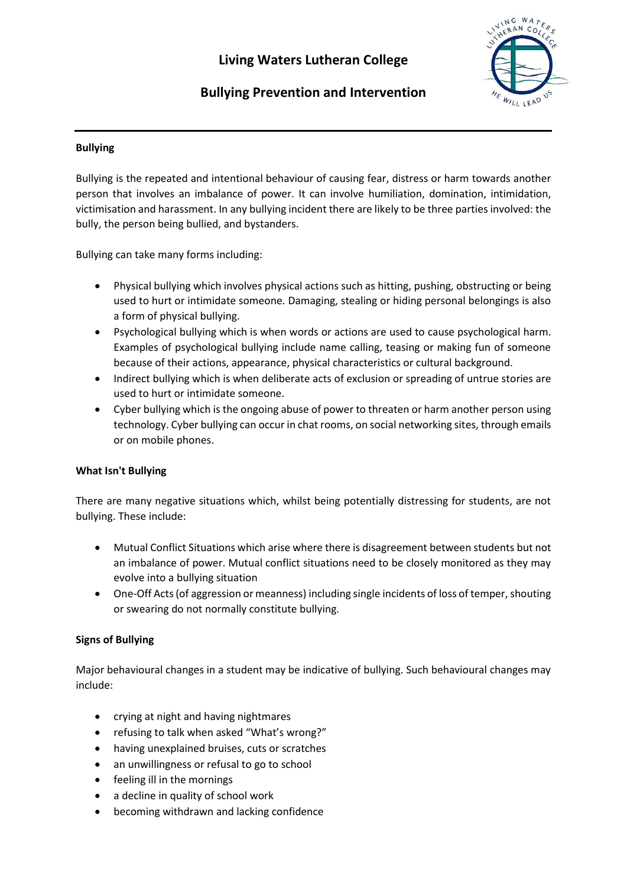# **Living Waters Lutheran College**



# **Bullying Prevention and Intervention**

## **Bullying**

Bullying is the repeated and intentional behaviour of causing fear, distress or harm towards another person that involves an imbalance of power. It can involve humiliation, domination, intimidation, victimisation and harassment. In any bullying incident there are likely to be three parties involved: the bully, the person being bullied, and bystanders.

Bullying can take many forms including:

- Physical bullying which involves physical actions such as hitting, pushing, obstructing or being used to hurt or intimidate someone. Damaging, stealing or hiding personal belongings is also a form of physical bullying.
- Psychological bullying which is when words or actions are used to cause psychological harm. Examples of psychological bullying include name calling, teasing or making fun of someone because of their actions, appearance, physical characteristics or cultural background.
- Indirect bullying which is when deliberate acts of exclusion or spreading of untrue stories are used to hurt or intimidate someone.
- Cyber bullying which is the ongoing abuse of power to threaten or harm another person using technology. Cyber bullying can occur in chat rooms, on social networking sites, through emails or on mobile phones.

#### **What Isn't Bullying**

There are many negative situations which, whilst being potentially distressing for students, are not bullying. These include:

- Mutual Conflict Situations which arise where there is disagreement between students but not an imbalance of power. Mutual conflict situations need to be closely monitored as they may evolve into a bullying situation
- One-Off Acts (of aggression or meanness) including single incidents of loss of temper, shouting or swearing do not normally constitute bullying.

## **Signs of Bullying**

Major behavioural changes in a student may be indicative of bullying. Such behavioural changes may include:

- crying at night and having nightmares
- refusing to talk when asked "What's wrong?"
- having unexplained bruises, cuts or scratches
- an unwillingness or refusal to go to school
- feeling ill in the mornings
- a decline in quality of school work
- becoming withdrawn and lacking confidence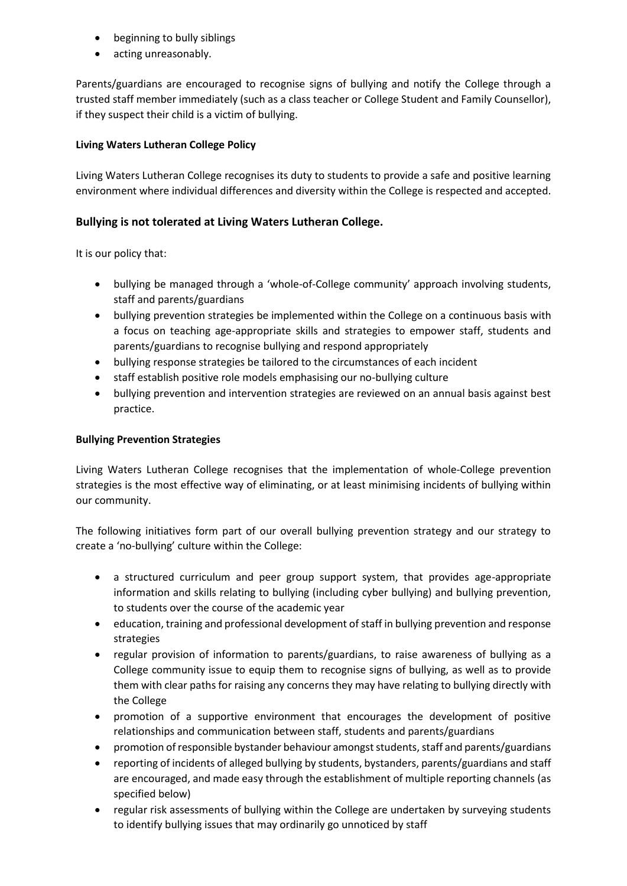- beginning to bully siblings
- acting unreasonably.

Parents/guardians are encouraged to recognise signs of bullying and notify the College through a trusted staff member immediately (such as a class teacher or College Student and Family Counsellor), if they suspect their child is a victim of bullying.

## **Living Waters Lutheran College Policy**

Living Waters Lutheran College recognises its duty to students to provide a safe and positive learning environment where individual differences and diversity within the College is respected and accepted.

## **Bullying is not tolerated at Living Waters Lutheran College.**

It is our policy that:

- bullying be managed through a 'whole-of-College community' approach involving students, staff and parents/guardians
- bullying prevention strategies be implemented within the College on a continuous basis with a focus on teaching age-appropriate skills and strategies to empower staff, students and parents/guardians to recognise bullying and respond appropriately
- bullying response strategies be tailored to the circumstances of each incident
- staff establish positive role models emphasising our no-bullying culture
- bullying prevention and intervention strategies are reviewed on an annual basis against best practice.

### **Bullying Prevention Strategies**

Living Waters Lutheran College recognises that the implementation of whole-College prevention strategies is the most effective way of eliminating, or at least minimising incidents of bullying within our community.

The following initiatives form part of our overall bullying prevention strategy and our strategy to create a 'no-bullying' culture within the College:

- a structured curriculum and peer group support system, that provides age-appropriate information and skills relating to bullying (including cyber bullying) and bullying prevention, to students over the course of the academic year
- education, training and professional development of staff in bullying prevention and response strategies
- regular provision of information to parents/guardians, to raise awareness of bullying as a College community issue to equip them to recognise signs of bullying, as well as to provide them with clear paths for raising any concerns they may have relating to bullying directly with the College
- promotion of a supportive environment that encourages the development of positive relationships and communication between staff, students and parents/guardians
- promotion of responsible bystander behaviour amongst students, staff and parents/guardians
- reporting of incidents of alleged bullying by students, bystanders, parents/guardians and staff are encouraged, and made easy through the establishment of multiple reporting channels (as specified below)
- regular risk assessments of bullying within the College are undertaken by surveying students to identify bullying issues that may ordinarily go unnoticed by staff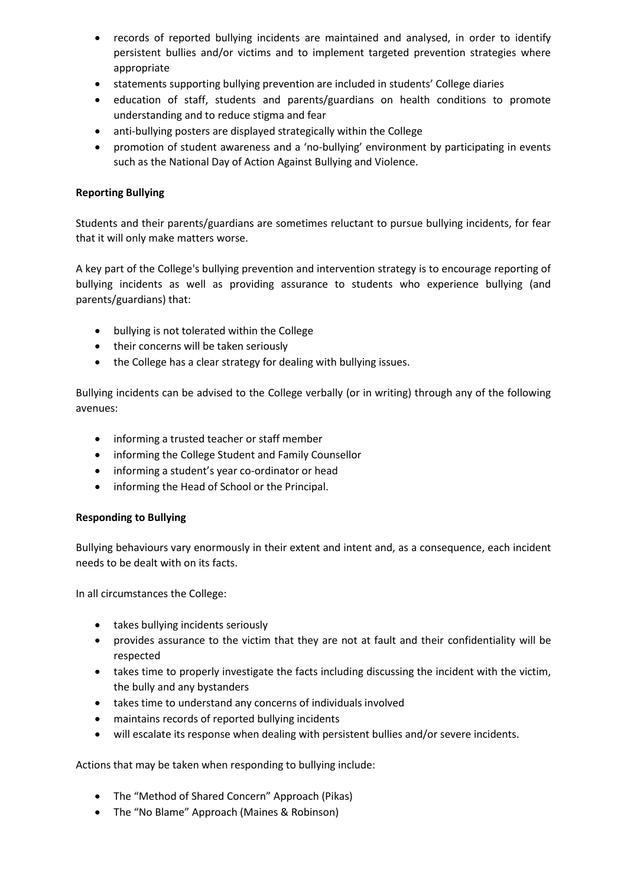- records of reported bullying incidents are maintained and analysed, in order to identify persistent bullies and/or victims and to implement targeted prevention strategies where appropriate
- statements supporting bullying prevention are included in students' College diaries
- education of staff, students and parents/guardians on health conditions to promote understanding and to reduce stigma and fear
- anti-bullying posters are displayed strategically within the College
- promotion of student awareness and a 'no-bullying' environment by participating in events such as the National Day of Action Against Bullying and Violence.

### **Reporting Bullying**

Students and their parents/guardians are sometimes reluctant to pursue bullying incidents, for fear that it will only make matters worse.

A key part of the College's bullying prevention and intervention strategy is to encourage reporting of bullying incidents as well as providing assurance to students who experience bullying (and parents/guardians) that:

- bullying is not tolerated within the College
- their concerns will be taken seriously
- the College has a clear strategy for dealing with bullying issues.

Bullying incidents can be advised to the College verbally (or in writing) through any of the following avenues:

- informing a trusted teacher or staff member
- informing the College Student and Family Counsellor
- informing a student's year co-ordinator or head
- informing the Head of School or the Principal.

#### **Responding to Bullying**

Bullying behaviours vary enormously in their extent and intent and, as a consequence, each incident needs to be dealt with on its facts.

In all circumstances the College:

- takes bullying incidents seriously
- provides assurance to the victim that they are not at fault and their confidentiality will be respected
- takes time to properly investigate the facts including discussing the incident with the victim, the bully and any bystanders
- takes time to understand any concerns of individuals involved
- maintains records of reported bullying incidents
- will escalate its response when dealing with persistent bullies and/or severe incidents.

Actions that may be taken when responding to bullying include:

- The "Method of Shared Concern" Approach (Pikas)
- The "No Blame" Approach (Maines & Robinson)